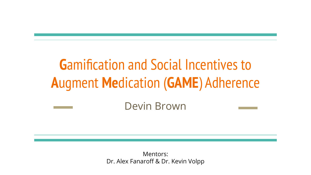## **G**amification and Social Incentives to **A**ugment **Me**dication (**GAME**) Adherence

### Devin Brown

Mentors: Dr. Alex Fanaroff & Dr. Kevin Volpp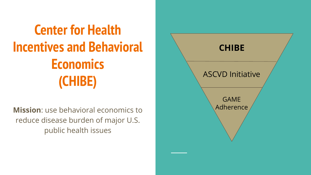## **Center for Health Incentives and Behavioral Economics (CHIBE)**

**Mission**: use behavioral economics to reduce disease burden of major U.S. public health issues

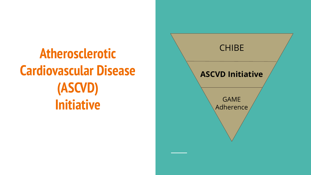## **Atherosclerotic Cardiovascular Disease (ASCVD) Initiative**

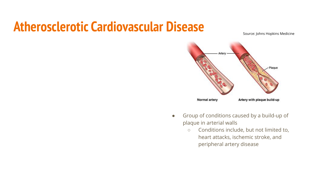### **Atherosclerotic Cardiovascular Disease**

Source: Johns Hopkins Medicine



- Group of conditions caused by a build-up of plaque in arterial walls
	- Conditions include, but not limited to, heart attacks, ischemic stroke, and peripheral artery disease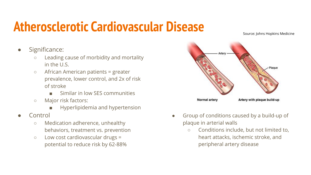### **Atherosclerotic Cardiovascular Disease**

Source: Johns Hopkins Medicine

- Significance:
	- Leading cause of morbidity and mortality in the U.S.
	- African American patients = greater prevalence, lower control, and 2x of risk of stroke
		- Similar in low SFS communities
	- Major risk factors:
		- Hyperlipidemia and hypertension
- **Control** 
	- Medication adherence, unhealthy behaviors, treatment vs. prevention
	- Low cost cardiovascular drugs = potential to reduce risk by 62-88%



- Group of conditions caused by a build-up of plaque in arterial walls
	- Conditions include, but not limited to, heart attacks, ischemic stroke, and peripheral artery disease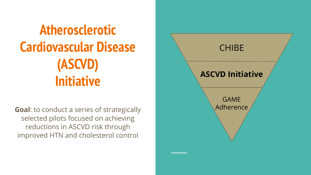## **Atherosclerotic Cardiovascular Disease (ASCVD) Initiative**

**Goal**: to conduct a series of strategically selected pilots focused on achieving reductions in ASCVD risk through improved HTN and cholesterol control

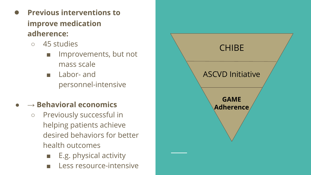- **Previous interventions to improve medication adherence:** 
	- 45 studies
		- Improvements, but not mass scale
		- Labor- and personnel-intensive

### **● → Behavioral economics**

- Previously successful in helping patients achieve desired behaviors for better health outcomes
	- E.g. physical activity
	- Less resource-intensive

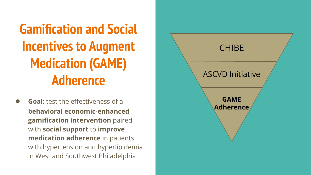## **Gamification and Social Incentives to Augment Medication (GAME) Adherence**

**Goal:** test the effectiveness of a **behavioral economic-enhanced gamification intervention** paired with **social support** to **improve medication adherence** in patients with hypertension and hyperlipidemia in West and Southwest Philadelphia

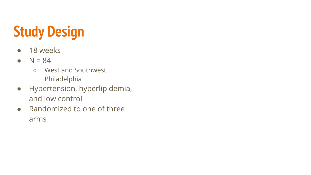## **Study Design**

- 18 weeks
- $\bullet$  N = 84
	- West and Southwest Philadelphia
- Hypertension, hyperlipidemia, and low control
- Randomized to one of three arms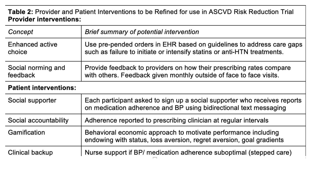#### Table 2: Provider and Patient Interventions to be Refined for use in ASCVD Risk Reduction Trial **Provider interventions:**

| Concept                        | Brief summary of potential intervention                                                                                                           |  |
|--------------------------------|---------------------------------------------------------------------------------------------------------------------------------------------------|--|
| Enhanced active<br>choice      | Use pre-pended orders in EHR based on guidelines to address care gaps<br>such as failure to initiate or intensify statins or anti-HTN treatments. |  |
| Social norming and<br>feedback | Provide feedback to providers on how their prescribing rates compare<br>with others. Feedback given monthly outside of face to face visits.       |  |
| <b>Patient interventions:</b>  |                                                                                                                                                   |  |
| Social supporter               | Each participant asked to sign up a social supporter who receives reports<br>on medication adherence and BP using bidirectional text messaging    |  |
| Social accountability          | Adherence reported to prescribing clinician at regular intervals                                                                                  |  |
| Gamification                   | Behavioral economic approach to motivate performance including<br>endowing with status, loss aversion, regret aversion, goal gradients            |  |
| Clinical backup                | Nurse support if BP/ medication adherence suboptimal (stepped care)                                                                               |  |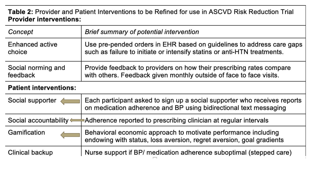#### Table 2: Provider and Patient Interventions to be Refined for use in ASCVD Risk Reduction Trial **Provider interventions:**

| Concept                | Brief summary of potential intervention                                  |  |
|------------------------|--------------------------------------------------------------------------|--|
| <b>Enhanced active</b> | Use pre-pended orders in EHR based on guidelines to address care gaps    |  |
| choice                 | such as failure to initiate or intensify statins or anti-HTN treatments. |  |
| Social norming and     | Provide feedback to providers on how their prescribing rates compare     |  |
| feedback               | with others. Feedback given monthly outside of face to face visits.      |  |

#### **Patient interventions:**

| Social supporter | Each participant asked to sign up a social supporter who receives reports<br>on medication adherence and BP using bidirectional text messaging |  |  |
|------------------|------------------------------------------------------------------------------------------------------------------------------------------------|--|--|
|                  | Social accountability Adherence reported to prescribing clinician at regular intervals                                                         |  |  |
| Gamification     | Behavioral economic approach to motivate performance including<br>endowing with status, loss aversion, regret aversion, goal gradients         |  |  |
| Clinical backup  | Nurse support if BP/ medication adherence suboptimal (stepped care)                                                                            |  |  |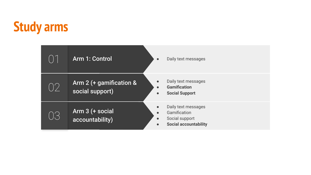### **Study arms**

|                                                        | Arm 1: Control                             | $\bullet$                           | Daily text messages                                                                   |
|--------------------------------------------------------|--------------------------------------------|-------------------------------------|---------------------------------------------------------------------------------------|
| $\left( \begin{array}{c} \end{array} \right)^{\prime}$ | Arm 2 (+ gamification &<br>social support) | $\bullet$<br>$\bullet$<br>$\bullet$ | Daily text messages<br><b>Gamification</b><br><b>Social Support</b>                   |
| VS                                                     | Arm 3 (+ social<br>accountability)         | $\bullet$<br>$\bullet$<br>$\bullet$ | Daily text messages<br>Gamification<br>Social support<br><b>Social accountability</b> |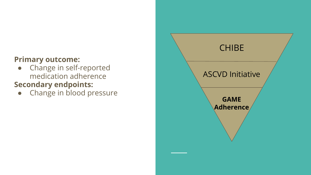### **Primary outcome:**

• Change in self-reported medication adherence

### **Secondary endpoints:**

• Change in blood pressure

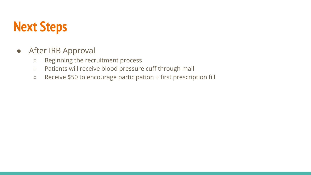### **Next Steps**

- After IRB Approval
	- Beginning the recruitment process
	- Patients will receive blood pressure cuff through mail
	- Receive \$50 to encourage participation + first prescription fill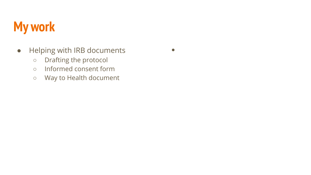### **My work**

● Helping with IRB documents

 $\bullet$ 

- Drafting the protocol
- Informed consent form
- Way to Health document